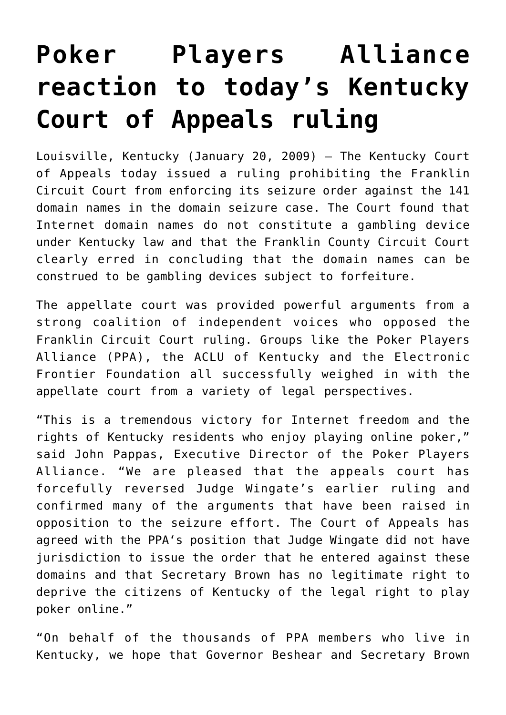## **[Poker Players Alliance](https://www.isa-guide.de/english-news/articles/24267.html) [reaction to today's Kentucky](https://www.isa-guide.de/english-news/articles/24267.html) [Court of Appeals ruling](https://www.isa-guide.de/english-news/articles/24267.html)**

Louisville, Kentucky (January 20, 2009) – The Kentucky Court of Appeals today issued a ruling prohibiting the Franklin Circuit Court from enforcing its seizure order against the 141 domain names in the domain seizure case. The Court found that Internet domain names do not constitute a gambling device under Kentucky law and that the Franklin County Circuit Court clearly erred in concluding that the domain names can be construed to be gambling devices subject to forfeiture.

The appellate court was provided powerful arguments from a strong coalition of independent voices who opposed the Franklin Circuit Court ruling. Groups like the Poker Players Alliance (PPA), the ACLU of Kentucky and the Electronic Frontier Foundation all successfully weighed in with the appellate court from a variety of legal perspectives.

"This is a tremendous victory for Internet freedom and the rights of Kentucky residents who enjoy playing online poker," said John Pappas, Executive Director of the Poker Players Alliance. "We are pleased that the appeals court has forcefully reversed Judge Wingate's earlier ruling and confirmed many of the arguments that have been raised in opposition to the seizure effort. The Court of Appeals has agreed with the PPA's position that Judge Wingate did not have jurisdiction to issue the order that he entered against these domains and that Secretary Brown has no legitimate right to deprive the citizens of Kentucky of the legal right to play poker online."

"On behalf of the thousands of PPA members who live in Kentucky, we hope that Governor Beshear and Secretary Brown